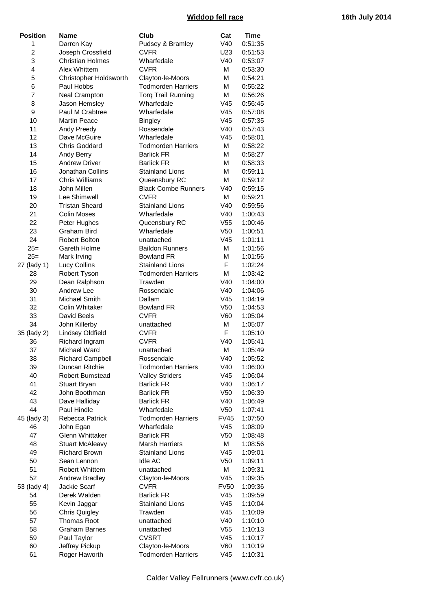## **Widdop fell race 16th July 2014**

| <b>Position</b> | Name                    | Club                       | Cat             | <b>Time</b> |
|-----------------|-------------------------|----------------------------|-----------------|-------------|
| 1               | Darren Kay              | Pudsey & Bramley           | V40             | 0:51:35     |
| $\overline{2}$  | Joseph Crossfield       | <b>CVFR</b>                | U23             | 0:51:53     |
| 3               | <b>Christian Holmes</b> | Wharfedale                 | V40             | 0:53:07     |
| 4               | Alex Whittem            | <b>CVFR</b>                | М               | 0:53:30     |
| 5               | Christopher Holdsworth  | Clayton-le-Moors           | М               | 0:54:21     |
| 6               | Paul Hobbs              | <b>Todmorden Harriers</b>  | М               | 0:55:22     |
| 7               | Neal Crampton           | <b>Torq Trail Running</b>  | М               | 0:56:26     |
| 8               | Jason Hemsley           | Wharfedale                 | V45             | 0:56:45     |
| 9               | Paul M Crabtree         | Wharfedale                 | V45             | 0:57:08     |
| 10              | <b>Martin Peace</b>     | <b>Bingley</b>             | V45             | 0:57:35     |
| 11              | Andy Preedy             | Rossendale                 | V40             | 0:57:43     |
| 12              | Dave McGuire            | Wharfedale                 | V45             | 0:58:01     |
| 13              | <b>Chris Goddard</b>    | <b>Todmorden Harriers</b>  | М               | 0:58:22     |
| 14              | Andy Berry              | <b>Barlick FR</b>          | М               | 0:58:27     |
| 15              | <b>Andrew Driver</b>    | <b>Barlick FR</b>          | М               | 0:58:33     |
| 16              | Jonathan Collins        | <b>Stainland Lions</b>     | М               | 0:59:11     |
| 17              | Chris Williams          | Queensbury RC              | М               | 0:59:12     |
| 18              | John Millen             | <b>Black Combe Runners</b> | V40             | 0:59:15     |
| 19              | Lee Shimwell            | <b>CVFR</b>                | М               | 0:59:21     |
| 20              | <b>Tristan Sheard</b>   | <b>Stainland Lions</b>     | V40             | 0:59:56     |
| 21              | <b>Colin Moses</b>      | Wharfedale                 | V40             | 1:00:43     |
| 22              | Peter Hughes            | Queensbury RC              | V <sub>55</sub> | 1:00:46     |
| 23              | Graham Bird             | Wharfedale                 | V <sub>50</sub> | 1:00:51     |
| 24              | <b>Robert Bolton</b>    | unattached                 | V45             | 1:01:11     |
| $25=$           | Gareth Holme            | <b>Baildon Runners</b>     | М               | 1:01:56     |
| $25=$           | Mark Irving             | <b>Bowland FR</b>          | М               | 1:01:56     |
| 27 (lady 1)     | Lucy Collins            | <b>Stainland Lions</b>     | F               | 1:02:24     |
| 28              | Robert Tyson            | <b>Todmorden Harriers</b>  | М               | 1:03:42     |
| 29              | Dean Ralphson           | Trawden                    | V40             | 1:04:00     |
| 30              | Andrew Lee              | Rossendale                 | V40             | 1:04:06     |
| 31              | Michael Smith           | Dallam                     | V45             | 1:04:19     |
| 32              | Colin Whitaker          | <b>Bowland FR</b>          | V <sub>50</sub> | 1:04:53     |
| 33              | David Beels             | <b>CVFR</b>                | V60             | 1:05:04     |
| 34              | John Killerby           | unattached                 | М               | 1:05:07     |
| 35 (lady 2)     | Lindsey Oldfield        | <b>CVFR</b>                | F               | 1:05:10     |
| 36              | Richard Ingram          | <b>CVFR</b>                | V40             | 1:05:41     |
| 37              | Michael Ward            | unattached                 | М               | 1:05:49     |
| 38              | <b>Richard Campbell</b> | Rossendale                 | V40             | 1:05:52     |
| 39              | Duncan Ritchie          | <b>Todmorden Harriers</b>  | V40             | 1:06:00     |
| 40              | Robert Bumstead         | <b>Valley Striders</b>     | V45             | 1:06:04     |
| 41              | Stuart Bryan            | <b>Barlick FR</b>          | V40             | 1:06:17     |
| 42              | John Boothman           | <b>Barlick FR</b>          | V <sub>50</sub> | 1:06:39     |
| 43              | Dave Halliday           | <b>Barlick FR</b>          | V40             | 1:06:49     |
| 44              | Paul Hindle             | Wharfedale                 | V <sub>50</sub> | 1:07:41     |
| 45 (lady 3)     | Rebecca Patrick         | <b>Todmorden Harriers</b>  | <b>FV45</b>     | 1:07:50     |
| 46              | John Egan               | Wharfedale                 | V45             | 1:08:09     |
| 47              | <b>Glenn Whittaker</b>  | <b>Barlick FR</b>          | V <sub>50</sub> | 1:08:48     |
| 48              | <b>Stuart McAleavy</b>  | <b>Marsh Harriers</b>      | М               | 1:08:56     |
| 49              | <b>Richard Brown</b>    | <b>Stainland Lions</b>     | V45             | 1:09:01     |
| 50              | Sean Lennon             | <b>Idle AC</b>             | V <sub>50</sub> | 1:09:11     |
| 51              | <b>Robert Whittem</b>   | unattached                 | Μ               | 1:09:31     |
| 52              | Andrew Bradley          | Clayton-le-Moors           | V45             | 1:09:35     |
| 53 (lady 4)     | Jackie Scarf            | <b>CVFR</b>                | <b>FV50</b>     | 1:09:36     |
| 54              | Derek Walden            | <b>Barlick FR</b>          | V <sub>45</sub> | 1:09:59     |
| 55              | Kevin Jaggar            | <b>Stainland Lions</b>     | V45             | 1:10:04     |
| 56              | <b>Chris Quigley</b>    | Trawden                    | V <sub>45</sub> | 1:10:09     |
| 57              | <b>Thomas Root</b>      | unattached                 | V40             | 1:10:10     |
| 58              | <b>Graham Barnes</b>    | unattached                 | V <sub>55</sub> | 1:10:13     |
| 59              | Paul Taylor             | <b>CVSRT</b>               | V45             | 1:10:17     |
| 60              | Jeffrey Pickup          | Clayton-le-Moors           | V60             | 1:10:19     |
| 61              | Roger Haworth           | <b>Todmorden Harriers</b>  | V <sub>45</sub> | 1:10:31     |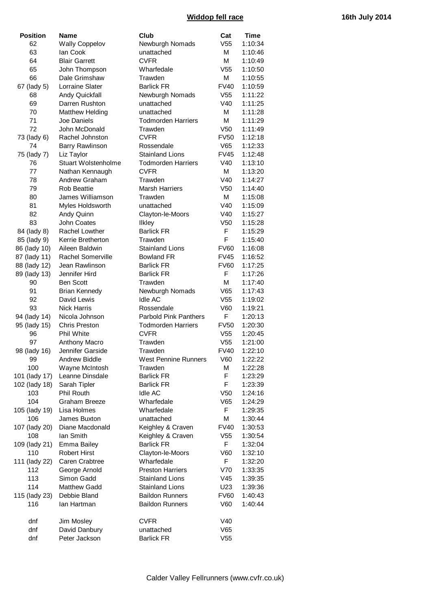## **Widdop fell race 16th July 2014**

| <b>Position</b> | <b>Name</b>            | Club                         | Cat                            | Time    |
|-----------------|------------------------|------------------------------|--------------------------------|---------|
| 62              | <b>Wally Coppelov</b>  | Newburgh Nomads              | V <sub>55</sub>                | 1:10:34 |
| 63              | lan Cook               | unattached                   | М                              | 1:10:46 |
| 64              | <b>Blair Garrett</b>   | <b>CVFR</b>                  | М                              | 1:10:49 |
| 65              | John Thompson          | Wharfedale                   | V <sub>55</sub>                | 1:10:50 |
| 66              | Dale Grimshaw          | Trawden                      | М                              | 1:10:55 |
| 67 (lady 5)     | Lorraine Slater        | <b>Barlick FR</b>            | <b>FV40</b>                    | 1:10:59 |
| 68              | Andy Quickfall         | Newburgh Nomads              | V <sub>55</sub>                | 1:11:22 |
| 69              | Darren Rushton         | unattached                   | V40                            | 1:11:25 |
| 70              | <b>Matthew Helding</b> | unattached                   | М                              | 1:11:28 |
| 71              | Joe Daniels            | <b>Todmorden Harriers</b>    | М                              | 1:11:29 |
| 72              | John McDonald          | Trawden                      | V <sub>50</sub>                | 1:11:49 |
|                 |                        |                              |                                |         |
| 73 (lady 6)     | Rachel Johnston        | <b>CVFR</b>                  | <b>FV50</b>                    | 1:12:18 |
| 74              | <b>Barry Rawlinson</b> | Rossendale                   | V65                            | 1:12:33 |
| 75 (lady 7)     | Liz Taylor             | <b>Stainland Lions</b>       | <b>FV45</b>                    | 1:12:48 |
| 76              | Stuart Wolstenholme    | <b>Todmorden Harriers</b>    | V40                            | 1:13:10 |
| 77              | Nathan Kennaugh        | <b>CVFR</b>                  | м                              | 1:13:20 |
| 78              | <b>Andrew Graham</b>   | Trawden                      | V40                            | 1:14:27 |
| 79              | <b>Rob Beattie</b>     | <b>Marsh Harriers</b>        | V <sub>50</sub>                | 1:14:40 |
| 80              | James Williamson       | Trawden                      | М                              | 1:15:08 |
| 81              | Myles Holdsworth       | unattached                   | V40                            | 1:15:09 |
| 82              | Andy Quinn             | Clayton-le-Moors             | V40                            | 1:15:27 |
| 83              | John Coates            | Ilkley                       | V <sub>50</sub>                | 1:15:28 |
| 84 (lady 8)     | Rachel Lowther         | <b>Barlick FR</b>            | F                              | 1:15:29 |
| 85 (lady 9)     | Kerrie Bretherton      | Trawden                      | F                              | 1:15:40 |
| 86 (lady 10)    | Aileen Baldwin         | <b>Stainland Lions</b>       | <b>FV60</b>                    | 1:16:08 |
| 87 (lady 11)    | Rachel Somerville      | <b>Bowland FR</b>            | <b>FV45</b>                    | 1:16:52 |
| 88 (lady 12)    | Jean Rawlinson         | <b>Barlick FR</b>            | <b>FV60</b>                    | 1:17:25 |
| 89 (lady 13)    | Jennifer Hird          | <b>Barlick FR</b>            | F                              | 1:17:26 |
| 90              | <b>Ben Scott</b>       | Trawden                      | М                              | 1:17:40 |
| 91              | <b>Brian Kennedy</b>   | Newburgh Nomads              | V65                            | 1:17:43 |
| 92              | David Lewis            | <b>Idle AC</b>               | V <sub>55</sub>                | 1:19:02 |
| 93              | <b>Nick Harris</b>     | Rossendale                   | V60                            | 1:19:21 |
| 94 (lady 14)    | Nicola Johnson         | <b>Parbold Pink Panthers</b> | F                              | 1:20:13 |
| 95 (lady 15)    | <b>Chris Preston</b>   | <b>Todmorden Harriers</b>    | <b>FV50</b>                    | 1:20:30 |
| 96              | Phil White             | <b>CVFR</b>                  | V <sub>55</sub>                |         |
| 97              |                        |                              |                                | 1:20:45 |
|                 | Anthony Macro          | Trawden                      | V <sub>55</sub><br><b>FV40</b> | 1:21:00 |
| 98 (lady 16)    | Jennifer Garside       | Trawden                      |                                | 1:22:10 |
| 99              | Andrew Biddle          | West Pennine Runners         | V60                            | 1:22:22 |
| 100             | Wayne McIntosh         | Trawden                      | М                              | 1:22:28 |
| 101 (lady 17)   | Leanne Dinsdale        | <b>Barlick FR</b>            | F                              | 1:23:29 |
| 102 (lady 18)   | Sarah Tipler           | <b>Barlick FR</b>            | F                              | 1:23:39 |
| 103             | Phil Routh             | <b>Idle AC</b>               | V <sub>50</sub>                | 1:24:16 |
| 104             | Graham Breeze          | Wharfedale                   | V65                            | 1:24:29 |
| 105 (lady 19)   | Lisa Holmes            | Wharfedale                   | F.                             | 1:29:35 |
| 106             | James Buxton           | unattached                   | М                              | 1:30:44 |
| 107 (lady 20)   | Diane Macdonald        | Keighley & Craven            | <b>FV40</b>                    | 1:30:53 |
| 108             | lan Smith              | Keighley & Craven            | V <sub>55</sub>                | 1:30:54 |
| 109 (lady 21)   | <b>Emma Bailey</b>     | <b>Barlick FR</b>            | F.                             | 1:32:04 |
| 110             | <b>Robert Hirst</b>    | Clayton-le-Moors             | V60                            | 1:32:10 |
| 111 (lady 22)   | Caren Crabtree         | Wharfedale                   | F.                             | 1:32:20 |
| 112             | George Arnold          | <b>Preston Harriers</b>      | V70                            | 1:33:35 |
| 113             | Simon Gadd             | <b>Stainland Lions</b>       | V45                            | 1:39:35 |
| 114             | <b>Matthew Gadd</b>    | <b>Stainland Lions</b>       | U23                            | 1:39:36 |
| 115 (lady 23)   | Debbie Bland           | <b>Baildon Runners</b>       | <b>FV60</b>                    | 1:40:43 |
| 116             | lan Hartman            | <b>Baildon Runners</b>       | V60                            | 1:40:44 |
|                 |                        |                              |                                |         |
| dnf             | Jim Mosley             | <b>CVFR</b>                  | V40                            |         |
| dnf             | David Danbury          | unattached                   | V65                            |         |
| dnf             | Peter Jackson          | <b>Barlick FR</b>            | V <sub>55</sub>                |         |
|                 |                        |                              |                                |         |